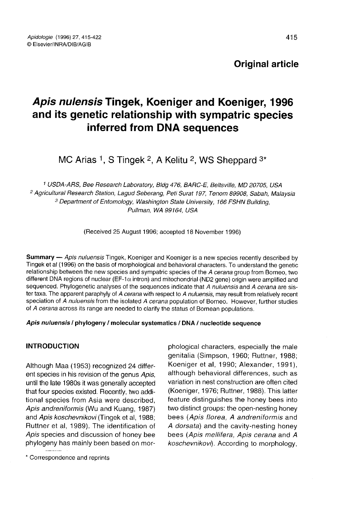# Apis nulensis Tingek, Koeniger and Koeniger, 1996 and its genetic relationship with sympatric species<br>inferred from DNA sequences<br>MC Arias 1, S Tingek <sup>2</sup>, A Kelitu <sup>2</sup>, WS Sheppard <sup>3\*</sup> inferred from DNA sequences

 USDA-ARS, Bee Research Laboratory, Bldg 476, BARC-E, Beltsville, MD 20705, USA Agricultural Research Station, Lagud Seberang, Peti Surat 197, Tenom 89908, Sabah, Malaysia Department of Entomology, Washington State University, 166 FSHN Building, Pullman, WA 99164, USA

(Received 25 August 1996; accepted 18 November 1996)

Summary - Apis nuluensis Tingek, Koeniger and Koeniger is a new species recently described by Tingek et al (1996) on the basis of morphological and behavioral characters. To understand the genetic relationship between the new species and sympatric species of the A cerana group from Borneo, two different DNA regions of nuclear (EF-1 α intron) and mitochondrial (ND2 gene) origin were amplified and sequenced. Phylogenetic analyses of the sequences indicate that A nuluensis and A cerana are sister taxa. The apparent paraphyly of A cerana with respect to A nuluensis, may result from relatively recent speciation of A nuluensis from the isolated A cerana population of Borneo. However, further studies of A cerana across its range are needed to clarify the status of Bornean populations.

Apis nuluensis / phylogeny / molecular systematics / DNA / nucleotide sequence

## **INTRODUCTION**

Although Maa (1953) recognized 24 different species in his revision of the genus Apis, until the late 1980s it was generally accepted that four species existed. Recently, two additional species from Asia were described, Apis andreniformis (Wu and Kuang, 1987) and Apis koschevnikovi (Tingek et al, 1988; Ruttner et al, 1989). The identification of Apis species and discussion of honey bee phylogeny has mainly been based on mor-

\* Correspondence and reprints

phological characters, especially the male genitalia (Simpson, 1960; Ruttner, 1988; Koeniger et al, 1990; Alexander, 1991), although behavioral differences, such as variation in nest construction are often cited (Koeniger, 1976; Ruttner, 1988). This latter feature distinguishes the honey bees into two distinct groups: the open-nesting honey bees (Apis florea, A andreniformis and A dorsata) and the cavity-nesting honey bees (Apis mellifera, Apis cerana and A koschevnikovi). According to morphology,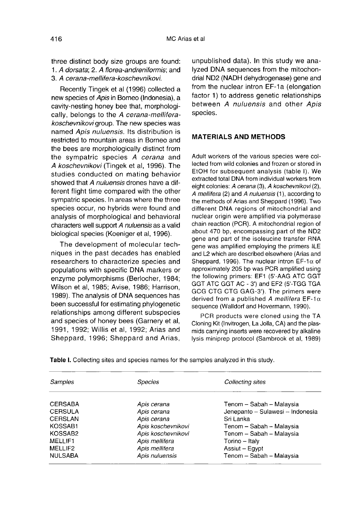three distinct body size groups are found: 1. A dorsata; 2. A florea-andreniformis; and 3. A cerana-mellifera-koschevnikovi.

Recently Tingek et al (1996) collected a new species of Apis in Borneo (Indonesia), a cavity-nesting honey bee that, morphologically, belongs to the A cerana-melliferakoschevnikovi group. The new species was named Apis nuluensis. Its distribution is restricted to mountain areas in Borneo and the bees are morphologically distinct from the sympatric species A cerana and A koschevnikovi (Tingek et al, 1996). The studies conducted on mating behavior showed that A nuluensis drones have a different flight time compared with the other sympatric species. In areas where the three species occur, no hybrids were found and analysis of morphological and behavioral characters well support A nuluensis as a valid biological species (Koeniger et al, 1996).

The development of molecular techniques in the past decades has enabled researchers to characterize species and populations with specific DNA markers or enzyme polymorphisms (Berlocher, 1984; Wilson et al, 1985; Avise, 1986; Harrison, 1989). The analysis of DNA sequences has been successful for estimating phylogenetic relationships among different subspecies and species of honey bees (Garnery et al, 1991, 1992; Willis et al, 1992; Arias and Sheppard, 1996; Sheppard and Arias, unpublished data). In this study we analyzed DNA sequences from the mitochondrial ND2 (NADH dehydrogenase) gene and from the nuclear intron EF-1a (elongation factor 1) to address genetic relationships between A nuluensis and other Apis species.

#### MATERIALS AND METHODS

Adult workers of the various species were collected from wild colonies and frozen or stored in EtOH for subsequent analysis (table I). We extracted total DNA from individual workers from eight colonies: A cerana (3), A koschevnikovi (2), A mellifera (2) and A nuluensis (1), according to the methods of Arias and Sheppard (1996). Two different DNA regions of mitochondrial and nuclear origin were amplified via polymerase chain reaction (PCR). A mitochondrial region of about 470 bp, encompassing part of the ND2 gene and part of the isoleucine transfer RNA gene was amplified employing the primers ILE and L2 which are described elsewhere (Arias and Sheppard, 1996). The nuclear intron EF-1 $\alpha$  of approximately 205 bp was PCR amplified using the following primers: EF1 (5'-AAG ATC GGT GGT ATC GGT AC - 3') and EF2 (5'-TGG TGA GCG CTG CTG GAG-3'). The primers were derived from a published A mellifera EF-1 $\alpha$ sequence (Walldorf and Hovermann, 1990).

PCR products were cloned using the TA Cloning Kit (Invitrogen, La Jolla, CA) and the plasmids carrying inserts were recovered by alkaline lysis miniprep protocol (Sambrook et al, 1989)

| Samples        | <b>Species</b>     | Collecting sites                 |  |  |
|----------------|--------------------|----------------------------------|--|--|
| CERSABA        | Apis cerana        | Tenom - Sabah - Malaysia         |  |  |
| <b>CERSULA</b> | Apis cerana        | Jenepanto - Sulawesi - Indonesia |  |  |
| CERSLAN        | Apis cerana        | Sri Lanka                        |  |  |
| KOSSAB1        | Apis koschevnikovi | Tenom -- Sabah -- Malaysia       |  |  |
| KOSSAB2        | Apis koschevnikovi | Tenom - Sabah - Malaysia         |  |  |
| MELLIF1        | Apis mellifera     | Torino - Italy                   |  |  |
| MELLIF2        | Apis mellifera     | Assiut - Eqypt                   |  |  |
| NULSABA        | Apis nuluensis     | Tenom - Sabah - Malaysia         |  |  |

Table I. Collecting sites and species names for the samples analyzed in this study.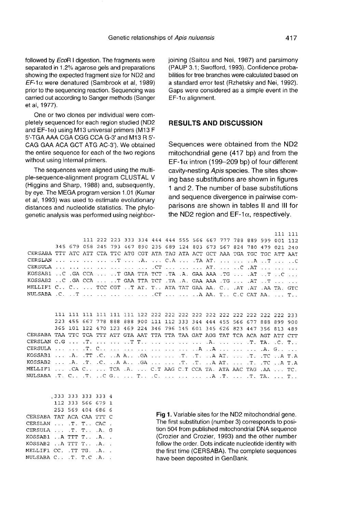followed by EcoR I digestion. The fragments were separated in 1.2% agarose gels and preparations showing the expected fragment size for ND2 and  $E\mathcal{F}$ -1α were denatured (Sambrook et al, 1989) prior to the sequencing reaction. Sequencing was carried out according to Sanger methods (Sanger et al, 1977).

One or two clones per individual were completely sequenced for each region studied (ND2 and  $EF-1\alpha$ ) using M13 universal primers (M13 F 5'-TGA AAA CGA CGG CCA G-3' and M13 R 5'- CAG GAA ACA GCT ATG AC-3'). We obtained the entire sequence for each of the two regions without using internal primers.

The sequences were aligned using the multiple-sequence-alignment program CLUSTAL V (Higgins and Sharp, 1988) and, subsequently, by eye. The MEGA program version 1.01 (Kumar et al, 1993) was used to estimate evolutionary distances and nucleotide statistics. The phylogenetic analysis was performed using neighborjoining (Saitou and Nei, 1987) and parsimony (PAUP 3.1; Swofford, 1993). Confidence probabilities for tree branches were calculated based on a standard error test (Rzhetsky and Nei, 1992). Gaps were considered as a simple event in the EF-1 $α$  alignment.

#### RESULTS AND DISCUSSION

Sequences were obtained from the ND2 mitochondrial gene (417 bp) and from the EF-1 $α$  intron (199-209 bp) of four different cavity-nesting Apis species. The sites showing base substitutions are shown in figures 1 and 2. The number of base substitutions and sequence divergence in pairwise comparisons are shown in tables II and III for the ND2 region and  $EF-1\alpha$ , respectively.

111 222 223 333 334 444 444 555 566 667 777 788 889 999 001 112 345 679 058 245 793 467 890 235 689 124 803 673 567 824 780 479 021 240 CERSABA TTT ATC ATT CTA TTC ATG CGT ATA TAG ATA ACT GCT AAA TGA TGC ATT AAT CERSLAN ... ... ... ... ..T ... .A. ... C.A ... .TA AT. ... ... ..A ..T ... ..C. KOSSAB2 ..C .GA CCA ... ..T GAA TTA TCT .TA .A. GAA AAA .TG ... .AT ...T ... ... MELLIF1 C.. C.. ... TCC CGT ..T AT. T.. ATA TAT GAA AA. C.. .AT .AT .AT .AA TA. GTC 223 455 667 778 888 888 900 111 112 333 344 444 455 566 677 888 899 900 365 101 122 470 123 469 224 346 796 145 601 345 626 823 447 356 813 489 CERSABA TAA TTC TCA TTT ATT GTA AAT TTA TTA TAA GAT AGG TAT TCA ACA AGT ATT CTT 

333 333 333 333 4 112 333 566 679 1 253 569 404 686 6 CERSABA TAT ACA CAA TTT C CERSLAN ... .T. T. . CAC . CERSULA ...  $T. T.$  ...  $A. G$ KOSSAB1 ..A TTT T.. .A. . KOSSAB2 ..A TTT T.. .A. . MELLIF1 CC. .TT TG. .A. . NULSABA C. . T. T.C .A.

Fig 1. Variable sites for the ND2 mitochondrial gene. The first substitution (number 3) corresponds to position 504 from published mitochondrial DNA sequence (Crozier and Crozier, 1993) and the other number follow the order. Dots indicate nucleotide identity with the first time (CERSABA). The complete sequences have been deposited in GenBank.

111 111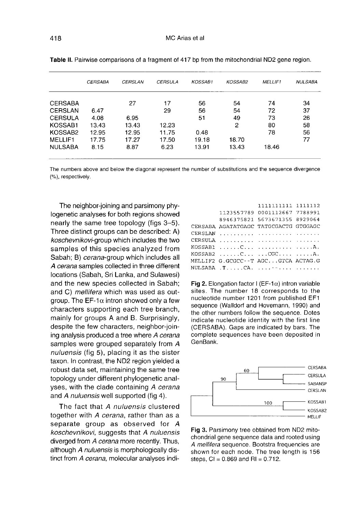|                     | <b>CERSABA</b> | <b>CERSLAN</b> | <b>CERSULA</b> | KOSSAB1 | KOSSAB2 | MELLIF1 | <b>NULSABA</b> |
|---------------------|----------------|----------------|----------------|---------|---------|---------|----------------|
| <b>CERSABA</b>      |                | 27             | 17             | 56      | 54      | 74      | 34             |
| <b>CERSLAN</b>      | 6.47           |                | 29             | 56      | 54      | 72      | 37             |
| <b>CERSULA</b>      | 4.08           | 6.95           |                | 51      | 49      | 73      | 26             |
| KOSSAB1             | 13.43          | 13.43          | 12.23          |         | 2       | 80      | 58             |
| KOSSAB <sub>2</sub> | 12.95          | 12.95          | 11.75          | 0.48    |         | 78      | 56             |
| <b>MELLIF1</b>      | 17.75          | 17.27          | 17.50          | 19.18   | 18.70   |         | 77             |
| <b>NULSABA</b>      | 8.15           | 8.87           | 6.23           | 13.91   | 13.43   | 18.46   |                |

Table II. Pairwise comparisons of a fragment of 417 bp from the mitochondrial ND2 gene region.

The numbers above and below the diagonal represent the number of substitutions and the sequence divergence (%), respectively.

The neighbor-joining and parsimony phylogenetic analyses for both regions showed nearly the same tree topology (figs 3-5). Three distinct groups can be described: A) koschevnikovi-group which includes the two samples of this species analyzed from Sabah; B) cerana-group which includes all A cerana samples collected in three different locations (Sabah, Sri Lanka, and Sulawesi) and the new species collected in Sabah; and C) mellifera which was used as outgroup. The EF-1 $\alpha$  intron showed only a few characters supporting each tree branch, mainly for groups A and B. Surprisingly, despite the few characters, neighbor-joining analysis produced a tree where A cerana samples were grouped separately from A nuluensis (fig 5), placing it as the sister taxon. In contrast, the ND2 region yielded a robust data set, maintaining the same tree topology under different phylogenetic analyses, with the clade containing A cerana and A nuluensis well supported (fig 4).

The fact that A nuluensis clustered together with A cerana, rather than as a separate group as observed for A koschevnikovi, suggests that A nuluensis diverged from A cerana more recently. Thus, although A nuluensis is morphologically distinct from A cerana, molecular analyses indi-

|                                                  | 1111111111 1111112            |  |
|--------------------------------------------------|-------------------------------|--|
|                                                  | 1123557789 0001112667 7788991 |  |
|                                                  | 8946375821 5673671355 8929064 |  |
| CERSABA AGATATGAGC TATGCGACTG GTGGAGC            |                               |  |
|                                                  |                               |  |
| CERSULA, ,                                       |                               |  |
|                                                  |                               |  |
| $KOSSAB2$ C CGC A.                               |                               |  |
| MELLIF2 G.GCGCC--T AGCGTCA ACTAG.G               |                               |  |
| NULSABA $,T, \ldots, CA, \ldots, \ldots, \ldots$ |                               |  |
|                                                  |                               |  |

**Fig 2.** Elongation factor  $I$  (EF-1 $\alpha$ ) intron variable sites. The number 18 corresponds to the nucleotide number 1201 from published EF1 sequence (Walldorf and Hovemann, 1990) and the other numbers follow the sequence. Dotes indicate nucleotide identity with the first line (CERSABA). Gaps are indicated by bars. The complete sequences have been deposited in GenBank.



Fig 3. Parsimony tree obtained from ND2 mitochondrial gene sequence data and rooted using A mellifera sequence. Bootstra frequencies are shown for each node. The tree length is 156 steps,  $CI = 0.869$  and  $RI = 0.712$ .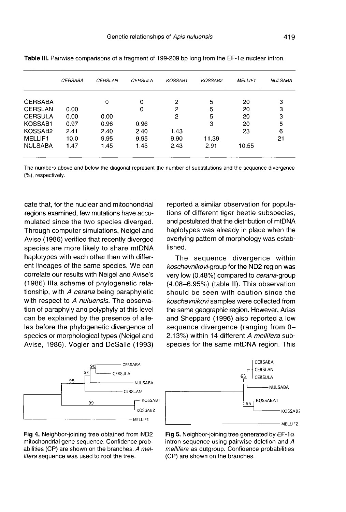|                     | <b>CERSABA</b> | <b>CERSLAN</b> | <b>CERSULA</b> | KOSSAB1 | KOSSAB2 | <b>MELLIF1</b> | <b>NULSABA</b> |
|---------------------|----------------|----------------|----------------|---------|---------|----------------|----------------|
| <b>CERSABA</b>      |                | 0              | 0              | 2       | 5       | 20             | 3              |
| <b>CERSLAN</b>      | 0.00           |                | 0              | 2       | 5       | 20             | з              |
| <b>CERSULA</b>      | 0.00           | 0.00           |                | 2       | 5       | 20             | 3              |
| KOSSAB1             | 0.97           | 0.96           | 0.96           |         | 3       | 20             | 5              |
| KOSSAB <sub>2</sub> | 2.41           | 2.40           | 2.40           | 1.43    |         | 23             | 6              |
| MELLIF1             | 10.0           | 9.95           | 9.95           | 9.90    | 11.39   |                | 21             |
| <b>NULSABA</b>      | 1.47           | 1.45           | 1.45           | 2.43    | 2.91    | 10.55          |                |

Table III. Pairwise comparisons of a fragment of 199-209 bp long from the  $EF$ -1 $\alpha$  nuclear intron.

The numbers above and below the diagonal represent the number of substitutions and the sequence divergence (%), respectively.

cate that, for the nuclear and mitochondrial regions examined, few mutations have accumulated since the two species diverged. Through computer simulations, Neigel and Avise (1986) verified that recently diverged species are more likely to share mtDNA haplotypes with each other than with different lineages of the same species. We can correlate our results with Neigel and Avise's (1986) IIIa scheme of phylogenetic relationship, with A cerana being paraphyletic with respect to A nuluensis. The observation of paraphyly and polyphyly at this level can be explained by the presence of alleles before the phylogenetic divergence of species or morphological types (Neigel and Avise, 1986). Vogler and DeSalle (1993)



Fig 4. Neighbor-joining tree obtained from ND2 mitochondrial gene sequence. Confidence probabilities (CP) are shown on the branches. A mellifera sequence was used to root the tree.

reported a similar observation for populations of different tiger beetle subspecies, and postulated that the distribution of mtDNA haplotypes was already in place when the overlying pattern of morphology was established.

The sequence divergence within koschevnikovi-group for the ND2 region was very low (0.48%) compared to cerana-group (4.08-6.95%) (table II). This observation should be seen with caution since the koschevnikovi samples were collected from the same geographic region. However, Arias and Sheppard (1996) also reported a low sequence divergence (ranging from 0-2.13%) within 14 different A mellifera subspecies for the same mtDNA region. This



Fig 5. Neighbor-joining tree generated by EF-1 $\alpha$ intron sequence using pairwise deletion and A mellifera as outgroup. Confidence probabilities (CP) are shown on the branches.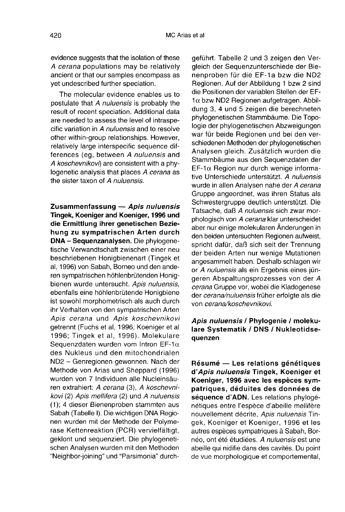evidence suggests that the isolation of these A cerana populations may be relatively ancient or that our samples encompass as yet undescribed further speciation.

The molecular evidence enables us to postulate that A nuluensis is probably the result of recent speciation. Additional data are needed to assess the level of intraspecific variation in A nuluensis and to resolve other within-group relationships. However, relatively large interspecific sequence differences (eg, between A nuluensis and A koschevnikovi) are consistent with a phylogenetic analysis that places A cerana as the sister taxon of A nuluensis.

Zusammenfassung — Apis nuluensis Tingek, Koeniger and Koeniger, 1996 und die Ermittlung ihrer genetischen Beziehung zu sympatrischen Arten durch DNA - Sequenzanalysen. Die phylogenetische Verwandtschaft zwischen einer neu beschriebenen Honigbienenart (Tingek et al, 1996) von Sabah, Borneo und den anderen sympatrischen höhlenbrütenden Honigbienen wurde untersucht. Apis nuluensis, ebenfalls eine höhlenbrütende Honigbiene ist sowohl morphometrisch als auch durch ihr Verhalten von den sympatrischen Arten Apis cerana und Apis koschevnikovi getrennt (Fuchs et al, 1996; Koeniger et al 1996; Tingek et al, 1996). Molekulare Sequenzdaten wurden vom Intron EF-1 $\alpha$ des Nukleus und den mitochondrialen ND2 - Genregionen gewonnen. Nach der Methode von Arias und Sheppard (1996) wurden von 7 Individuen alle Nucleinsäuren extrahiert: A cerana (3), A koschevnikovi (2) Apis mellifera (2) und A nuluensis (1); 4 dieser Bienenproben stammten aus Sabah (Tabelle I). Die wichtigen DNA Regio nen wurden mit der Methode der Polyme rase Kettenreaktion (PCR) vervielfältigt, geklont und sequenziert. Die phylogenetischen Analysen wurden mit den Methoden "Neighbor-joining" und "Parsimonia" durchgeführt. Tabelle 2 und 3 zeigen den Vergleich der Sequenzunterschiede der Bienenproben für die EF-1a bzw die ND2 Regionen. Auf der Abbildung 1 bzw 2 sind die Positionen der variablen Stellen der EF-1α bzw ND2 Regionen aufgetragen. Abbildung 3, 4 und 5 zeigen die berechneten phylogenetischen Stammbäume. Die Topologie der phylogenetischen Abzweigungen war für beide Regionen und bei den verschiedenen Methoden der phylogenetischen Analysen gleich. Zusätzlich wurden die Stammbäume aus den Sequenzdaten der EF-1α Region nur durch wenige informative Unterschiede unterstützt. A nuluensis wurde in allen Analysen nahe der A cerana Gruppe angeordnet, was ihren Status als Schwestergruppe deutlich unterstützt. Die Tatsache, daß A nuluensis sich zwar morphologisch von A cerana klar unterscheidet aber nur einige molekularen Änderungen in den beiden untersuchten Regionen aufweist, spricht dafür, daß sich seit der Trennung der beiden Arten nur wenige Mutationen angesammelt haben. Deshalb schlagen wir or A nuluensis als ein Ergebnis eines jüngeren Abspaltungsprozesses von der A cerana Gruppe vor, wobei die Kladogenese der cerana/nuluensis früher erfolgte als die von cerana/koschevnikovi.

## Apis nuluensis / Phylogenie / molekulare Systematik / DNS / Nukleotidsequenzen

Résumé — Les relations génétiques d'Apis nuluensis Tingek, Koeniger et Koeniger, 1996 avec les espèces sympatriques, déduites des données de séquence d'ADN. Les relations phylogénétiques entre l'espèce d'abeille mellifère nouvellement décrite, Apis nuluensis Tingek, Koeniger et Koeniger, 1996 et les autres espèces sympatriques à Sabah, Bornéo, ont été étudiées. A nuluensis est une abeille qui nidifie dans des cavités. Du point de vue morphologique et comportemental,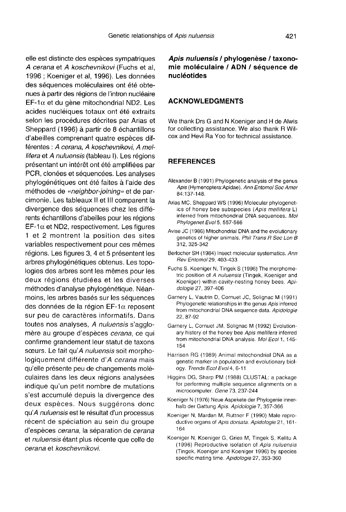elle est distincte des espèces sympatriques A cerana et A koschevnikovi (Fuchs et al, 1996 ; Koeniger et al, 1996). Les données des séquences moléculaires ont été obtenues à partir des régions de l'intron nucléaire EF-1α et du gène mitochondrial ND2. Les acides nucléiques totaux ont été extraits selon les procédures décrites par Arias et Sheppard (1996) à partir de 8 échantillons d'abeilles comprenant quatre espèces différentes : A cerana, A koschevnikovi, A mellifera et A nuluensis (tableau I). Les régions présentant un intérêt ont été amplifiées par PCR, clonées et séquencées. Les analyses phylogénétiques ont été faites à l'aide des méthodes de «neighbor-joining» et de parcimonie. Les tableaux II et III comparent la divergence des séquences chez les différents échantillons d'abeilles pour les régions EF-1α et ND2, respectivement. Les figures 1 et 2 montrent la position des sites variables respectivement pour ces mêmes régions. Les figures 3, 4 et 5 présentent les arbres phylogénétiques obtenus. Les topologies des arbres sont les mêmes pour les deux régions étudiées et les diverses méthodes d'analyse phylogénétique. Néanmoins, les arbres basés sur les séquences des données de la région EF-1α reposent sur peu de caractères informatifs. Dans toutes nos analyses, A nuluensis s'agglomère au groupe d'espèces cerana, ce qui confirme grandement leur statut de taxons sœurs. Le fait qu'A nuluensis soit morphologiquement différente d'A cerana mais qu'elle présente peu de changements moléculaires dans les deux régions analysées indique qu'un petit nombre de mutations s'est accumulé depuis la divergence des deux espèces. Nous suggérons donc qu'A nuluensis est le résultat d'un processus récent de spéciation au sein du groupe d'espèces cerana, la séparation de cerana et nuluensis étant plus récente que celle de cerana et koschevnikovi.

### Apis nuluensis / phylogenèse / taxonomie moléculaire / ADN / séquence de nucléotides

#### ACKNOWLEDGMENTS

We thank Drs G and N Koeniger and H de Alwis for collecting assistance. We also thank R Wilcox and Hevi Ra Yoo for technical assistance.

## REFERENCES

- Alexander B (1991) Phylogenetic analysis of the genus Apis (Hymenoptera:Apidae). Ann Entomol Soc Amer 84:137-148.
- Arias MC, Sheppard WS (1996) Molecular phylogenetics of honey bee subspecies (Apis mellifera L) inferred from mitochondrial DNA sequences. Mol Phylogenet Evol 5, 557-566
- Avise JC (1986) Mitochondrial DNA and the evolutionary genetics of higher animals. Phil Trans R Soc Lon B 312, 325-342
- Berlocher SH (1984) Insect molecular systematics. Ann Rev Entomol 29, 403-433
- Fuchs S, Koeniger N, Tingek S (1996) The morphome tric position of A nuluensis (Tingek, Koeniger and Koeniger) within cavity-nesting honey bees. Apidologie 27, 397-406
- Garnery L, Vautrin D, Cornuet JC, Solignac M (1991) Phylogenetic relationships in the genus Apis inferred from mitochondrial DNA sequence data. Apidologie 22, 87-92
- Garnery L, Cornuet JM, Solignac M (1992) Evolutionary history of the honey bee Apis mellifera inferred from mitochondrial DNA analysis. Mol Ecol 1, 145-154
- Harrison RG (1989) Animal mitochondrial DNA as a genetic marker in population and evolutionary biology. Trends Ecol Evol 4, 6-11
- Higgins DG, Sharp PM (1988) CLUSTAL: a package for performing multiple sequence alignments on a microcomputer. Gene 73, 237-244
- Koeniger N (1976) Neue Aspekete der Phylogenie innerhalb der Gattung Apis. Apidologie 7, 357-366
- Koeniger N, Mardan M, Ruttner F (1990) Male reproductive organs of Apis dorsata. Apidologie 21, 161- 164
- Koeniger N, Koeniger G, Gries M, Tingek S, Kelitu A (1996) Reproductive isolation of Apis nuluensis (Tingek, Koeniger and Koeniger 1996) by species specific mating time. Apidologie 27, 353-360